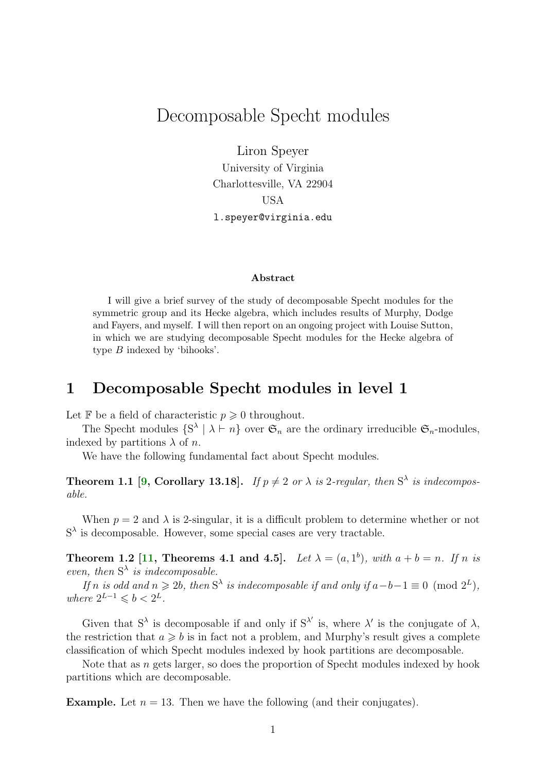# <span id="page-0-0"></span>Decomposable Specht modules

Liron Speyer

University of Virginia Charlottesville, VA 22904 USA l.speyer@virginia.edu

#### Abstract

I will give a brief survey of the study of decomposable Specht modules for the symmetric group and its Hecke algebra, which includes results of Murphy, Dodge and Fayers, and myself. I will then report on an ongoing project with Louise Sutton, in which we are studying decomposable Specht modules for the Hecke algebra of type B indexed by 'bihooks'.

## 1 Decomposable Specht modules in level 1

Let  $\mathbb F$  be a field of characteristic  $p \geq 0$  throughout.

The Specht modules  $\{S^{\lambda} \mid \lambda \vdash n\}$  over  $\mathfrak{S}_n$  are the ordinary irreducible  $\mathfrak{S}_n$ -modules, indexed by partitions  $\lambda$  of n.

We have the following fundamental fact about Specht modules.

**Theorem 1.1 [\[9,](#page-4-0) Corollary 13.18].** If  $p \neq 2$  or  $\lambda$  is 2-regular, then  $S^{\lambda}$  is indecomposable.

When  $p = 2$  and  $\lambda$  is 2-singular, it is a difficult problem to determine whether or not  $S^{\lambda}$  is decomposable. However, some special cases are very tractable.

**Theorem 1.2** [\[11,](#page-5-0) Theorems 4.1 and 4.5]. Let  $\lambda = (a, 1^b)$ , with  $a + b = n$ . If n is even, then  $S^{\lambda}$  is indecomposable.

If n is odd and  $n \ge 2b$ , then  $S^{\lambda}$  is indecomposable if and only if  $a-b-1 \equiv 0 \pmod{2^{L}}$ , where  $2^{L-1} \leqslant b < 2^L$ .

Given that  $S^{\lambda}$  is decomposable if and only if  $S^{\lambda'}$  is, where  $\lambda'$  is the conjugate of  $\lambda$ , the restriction that  $a \geq b$  is in fact not a problem, and Murphy's result gives a complete classification of which Specht modules indexed by hook partitions are decomposable.

Note that as n gets larger, so does the proportion of Specht modules indexed by hook partitions which are decomposable.

**Example.** Let  $n = 13$ . Then we have the following (and their conjugates).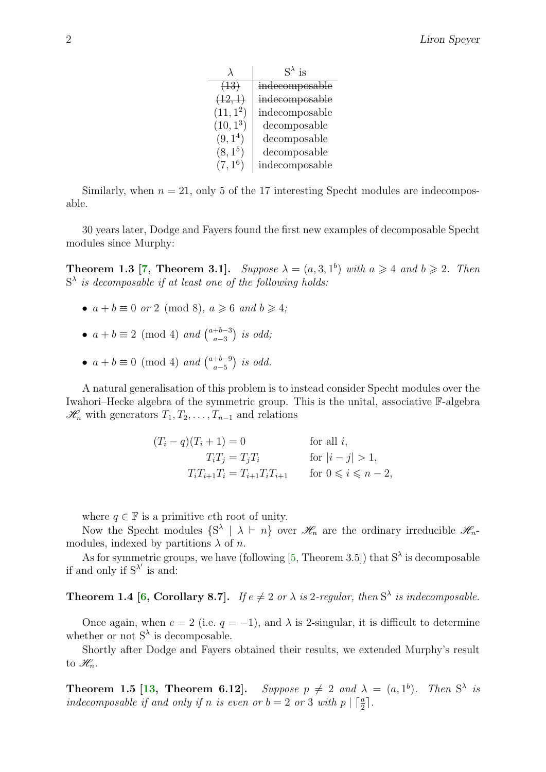<span id="page-1-0"></span>

|                     | $S^{\lambda}$ is |
|---------------------|------------------|
| (13)                | indecomposable   |
| (12,1)              | indecomposable   |
| $(11, 1^2)$         | indecomposable   |
| $(10, 1^3)$         | decomposable     |
| (9,1 <sup>4</sup> ) | decomposable     |
| $(8, 1^5)$          | decomposable     |
| $(7, 1^6)$          | indecomposable   |

Similarly, when  $n = 21$ , only 5 of the 17 interesting Specht modules are indecomposable.

30 years later, Dodge and Fayers found the first new examples of decomposable Specht modules since Murphy:

**Theorem 1.3** [\[7,](#page-4-1) Theorem 3.1]. Suppose  $\lambda = (a, 3, 1^b)$  with  $a \ge 4$  and  $b \ge 2$ . Then  $S^{\lambda}$  is decomposable if at least one of the following holds:

- $a + b \equiv 0$  or 2 (mod 8),  $a \ge 6$  and  $b \ge 4$ ;
- $a + b \equiv 2 \pmod{4}$  and  $\binom{a+b-3}{a-3}$  $_{a-3}^{+b-3}$ ) is odd;
- $a + b \equiv 0 \pmod{4}$  and  $\binom{a+b-9}{a-5}$  $\binom{+b-9}{a-5}$  is odd.

A natural generalisation of this problem is to instead consider Specht modules over the Iwahori–Hecke algebra of the symmetric group. This is the unital, associative F-algebra  $\mathscr{H}_n$  with generators  $T_1, T_2, \ldots, T_{n-1}$  and relations

$$
(T_i - q)(T_i + 1) = 0
$$
 for all  $i$ ,  
\n
$$
T_i T_j = T_j T_i
$$
 for  $|i - j| > 1$ ,  
\n
$$
T_i T_{i+1} T_i = T_{i+1} T_i T_{i+1}
$$
 for  $0 \le i \le n - 2$ ,

where  $q \in \mathbb{F}$  is a primitive eth root of unity.

Now the Specht modules  $\{S^{\lambda} \mid \lambda \vdash n\}$  over  $\mathscr{H}_n$  are the ordinary irreducible  $\mathscr{H}_n$ modules, indexed by partitions  $\lambda$  of n.

As for symmetric groups, we have (following [\[5,](#page-4-2) Theorem 3.5]) that  $S^{\lambda}$  is decomposable if and only if  $S^{\lambda'}$  is and:

### **Theorem 1.4 [\[6,](#page-4-3) Corollary 8.7].** If  $e \neq 2$  or  $\lambda$  is 2-regular, then  $S^{\lambda}$  is indecomposable.

Once again, when  $e = 2$  (i.e.  $q = -1$ ), and  $\lambda$  is 2-singular, it is difficult to determine whether or not  $S^{\lambda}$  is decomposable.

Shortly after Dodge and Fayers obtained their results, we extended Murphy's result to  $\mathscr{H}_n$ .

**Theorem 1.5 [\[13,](#page-5-1) Theorem 6.12].** Suppose  $p \neq 2$  and  $\lambda = (a, 1^b)$ . Then  $S^{\lambda}$  is indecomposable if and only if n is even or  $b = 2$  or 3 with  $p \mid \lceil \frac{a}{2} \rceil$ .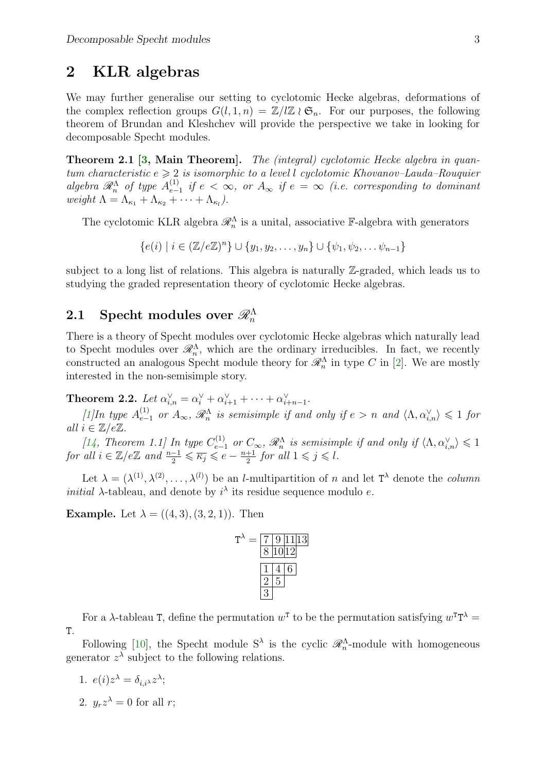## <span id="page-2-0"></span>2 KLR algebras

We may further generalise our setting to cyclotomic Hecke algebras, deformations of the complex reflection groups  $G(l, 1, n) = \mathbb{Z}/l\mathbb{Z} \wr \mathfrak{S}_n$ . For our purposes, the following theorem of Brundan and Kleshchev will provide the perspective we take in looking for decomposable Specht modules.

Theorem 2.1 [\[3,](#page-4-4) Main Theorem]. The (integral) cyclotomic Hecke algebra in quantum characteristic  $e \geqslant 2$  is isomorphic to a level l cyclotomic Khovanov–Lauda–Rouquier algebra  $\mathscr{R}_n^{\Lambda}$  of type  $A_{e-}^{(1)}$  $\sum_{e=1}^{(1)}$  if  $e < \infty$ , or  $A_{\infty}$  if  $e = \infty$  (i.e. corresponding to dominant weight  $\Lambda = \Lambda_{\kappa_1} + \Lambda_{\kappa_2} + \cdots + \Lambda_{\kappa_l}$ ).

The cyclotomic KLR algebra  $\mathcal{R}_n^{\Lambda}$  is a unital, associative F-algebra with generators

 ${e(i) | i \in (\mathbb{Z}/e\mathbb{Z})^n} \cup {y_1, y_2, \ldots, y_n} \cup { \psi_1, \psi_2, \ldots, \psi_{n-1}}$ 

subject to a long list of relations. This algebra is naturally Z-graded, which leads us to studying the graded representation theory of cyclotomic Hecke algebras.

# ${\bf 2.1}\quad{\rm Specht}\,\,{\rm modules}\,\,{\rm over}\,\,{\mathscr R}_n^\Lambda$

There is a theory of Specht modules over cyclotomic Hecke algebras which naturally lead to Specht modules over  $\mathcal{R}_n^{\Lambda}$ , which are the ordinary irreducibles. In fact, we recently constructed an analogous Specht module theory for  $\mathcal{R}_n^{\Lambda}$  in type C in [\[2\]](#page-4-5). We are mostly interested in the non-semisimple story.

**Theorem 2.2.** Let  $\alpha_{i,n}^{\vee} = \alpha_i^{\vee} + \alpha_{i+1}^{\vee} + \cdots + \alpha_{i+n-1}^{\vee}$ .

[\[1\]](#page-4-6) In type  $A_{e-1}^{(1)}$  or  $A_{\infty}$ ,  $\mathscr{R}_{n}^{\Lambda}$  is semisimple if and only if  $e > n$  and  $\langle \Lambda, \alpha_{i,n}^{\vee} \rangle \leq 1$  for all  $i \in \mathbb{Z}/e\mathbb{Z}$ .

[\[14,](#page-5-2) Theorem 1.1] In type  $C_{e-1}^{(1)}$  or  $C_{\infty}$ ,  $\mathscr{R}_n^{\Lambda}$  is semisimple if and only if  $\langle \Lambda, \alpha_{i,n}^{\vee} \rangle \leq 1$ for all  $i \in \mathbb{Z}/e\mathbb{Z}$  and  $\frac{n-1}{2} \leqslant \overline{\kappa_j} \leqslant e - \frac{n+1}{2}$  $rac{+1}{2}$  for all  $1 \leqslant j \leqslant l$ .

Let  $\lambda = (\lambda^{(1)}, \lambda^{(2)}, \ldots, \lambda^{(l)})$  be an *l*-multipartition of *n* and let  $T^{\lambda}$  denote the *column initial*  $\lambda$ -tableau, and denote by  $i^{\lambda}$  its residue sequence modulo e.

**Example.** Let  $\lambda = ((4, 3), (3, 2, 1))$ . Then

$$
T^{\lambda} = \frac{7 \ 9 \ 11 \ 13}{8 \ 10 \ 12}
$$

$$
\frac{1 \ 4 \ 6}{2 \ 5}
$$

$$
\frac{2 \ 5}{3}
$$

For a  $\lambda$ -tableau T, define the permutation  $w^T$  to be the permutation satisfying  $w^T T^{\lambda} =$ T.

Following [\[10\]](#page-4-7), the Specht module  $S^{\lambda}$  is the cyclic  $\mathcal{R}_n^{\Lambda}$ -module with homogeneous generator  $z^{\lambda}$  subject to the following relations.

1. 
$$
e(i)z^{\lambda} = \delta_{i,i^{\lambda}}z^{\lambda};
$$

2. 
$$
y_r z^{\lambda} = 0
$$
 for all r;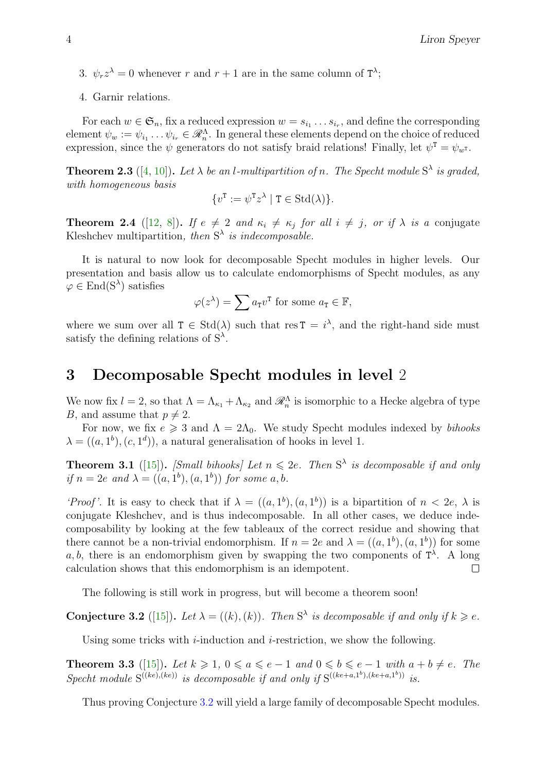- <span id="page-3-1"></span>3.  $\psi_r z^{\lambda} = 0$  whenever r and  $r + 1$  are in the same column of  $T^{\lambda}$ ;
- 4. Garnir relations.

For each  $w \in \mathfrak{S}_n$ , fix a reduced expression  $w = s_{i_1} \ldots s_{i_r}$ , and define the corresponding element  $\psi_w := \psi_{i_1} \dots \psi_{i_r} \in \mathscr{R}_n^{\Lambda}$ . In general these elements depend on the choice of reduced expression, since the  $\psi$  generators do not satisfy braid relations! Finally, let  $\psi^T = \psi_{w^T}$ .

**Theorem 2.3** ([\[4,](#page-4-8) [10\]](#page-4-7)). Let  $\lambda$  be an l-multipartition of n. The Specht module  $S^{\lambda}$  is graded, with homogeneous basis

$$
\{v^{\mathtt{T}} := \psi^{\mathtt{T}} z^{\lambda} \mid \mathtt{T} \in \mathrm{Std}(\lambda)\}.
$$

**Theorem 2.4** ([\[12,](#page-5-3) [8\]](#page-4-9)). If  $e \neq 2$  and  $\kappa_i \neq \kappa_j$  for all  $i \neq j$ , or if  $\lambda$  is a conjugate Kleshchev multipartition, then  $S^{\lambda}$  is indecomposable.

It is natural to now look for decomposable Specht modules in higher levels. Our presentation and basis allow us to calculate endomorphisms of Specht modules, as any  $\varphi \in \text{End}(\mathcal{S}^{\lambda})$  satisfies

$$
\varphi(z^{\lambda}) = \sum a_{\mathbf{T}} v^{\mathbf{T}} \text{ for some } a_{\mathbf{T}} \in \mathbb{F},
$$

where we sum over all  $T \in \text{Std}(\lambda)$  such that res  $T = i^{\lambda}$ , and the right-hand side must satisfy the defining relations of  $S^{\lambda}$ .

## 3 Decomposable Specht modules in level 2

We now fix  $l = 2$ , so that  $\Lambda = \Lambda_{\kappa_1} + \Lambda_{\kappa_2}$  and  $\mathscr{R}_n^{\Lambda}$  is isomorphic to a Hecke algebra of type B, and assume that  $p \neq 2$ .

For now, we fix  $e \geq 3$  and  $\Lambda = 2\Lambda_0$ . We study Specht modules indexed by *bihooks*  $\lambda = ((a, 1^b), (c, 1^d))$ , a natural generalisation of hooks in level 1.

**Theorem 3.1** ([\[15\]](#page-5-4)). [Small bihooks] Let  $n \leq 2e$ . Then S<sup> $\lambda$ </sup> is decomposable if and only if  $n = 2e$  and  $\lambda = ((a, 1<sup>b</sup>), (a, 1<sup>b</sup>))$  for some a, b.

'Proof'. It is easy to check that if  $\lambda = ((a, 1^b), (a, 1^b))$  is a bipartition of  $n < 2e$ ,  $\lambda$  is conjugate Kleshchev, and is thus indecomposable. In all other cases, we deduce indecomposability by looking at the few tableaux of the correct residue and showing that there cannot be a non-trivial endomorphism. If  $n = 2e$  and  $\lambda = ((a, 1<sup>b</sup>), (a, 1<sup>b</sup>))$  for some a, b, there is an endomorphism given by swapping the two components of  $T^{\lambda}$ . A long calculation shows that this endomorphism is an idempotent.  $\Box$ 

The following is still work in progress, but will become a theorem soon!

<span id="page-3-0"></span>**Conjecture 3.2** ([\[15\]](#page-5-4)). Let  $\lambda = ((k), (k))$ . Then S<sup> $\lambda$ </sup> is decomposable if and only if  $k \geq e$ .

Using some tricks with *i*-induction and *i*-restriction, we show the following.

**Theorem 3.3** ([\[15\]](#page-5-4)). Let  $k \geq 1$ ,  $0 \leq a \leq e-1$  and  $0 \leq b \leq e-1$  with  $a+b \neq e$ . The Specht module  $S^{((ke),(ke))}$  is decomposable if and only if  $S^{((ke+a,1^b),(ke+a,1^b))}$  is.

Thus proving Conjecture [3.2](#page-3-0) will yield a large family of decomposable Specht modules.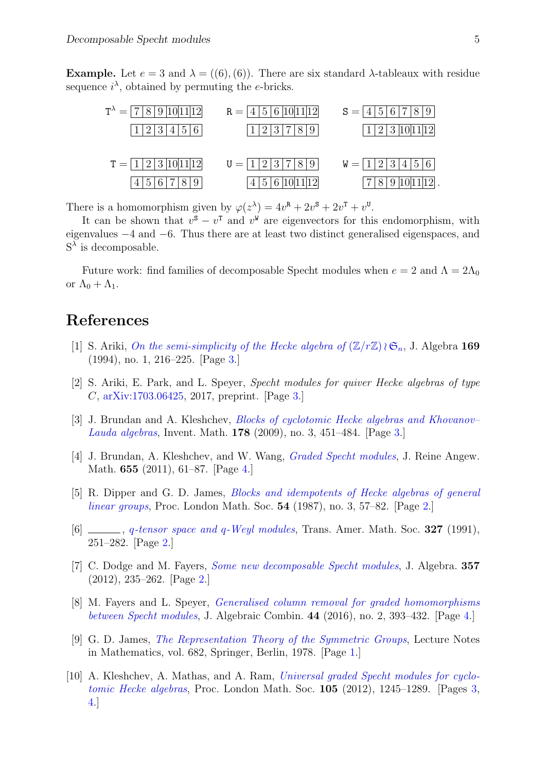Example. Let  $e = 3$  and  $\lambda = ((6), (6))$ . There are six standard  $\lambda$ -tableaux with residue sequence  $i^{\lambda}$ , obtained by permuting the e-bricks.

| $T^{\lambda} =  7 8 9 10 11 12 $ | $R =  4 5 6 10 11 12 $ | $S =  4 5 6 7 8 9$       |
|----------------------------------|------------------------|--------------------------|
| 1 2 3 4 5 6                      | 1 2 3 7 8 9            | 1 2 3 10 11 12           |
|                                  |                        |                          |
| $T =  1 2 3 10 11 12 $           | $U =  1 2 3 7 8 9 $    | 15 6 <br>$W =  1 2 3 4 $ |
| 4 5 6 7 8 9                      | 4 5 6 10 11 12         | 7 8 9 10 11 12           |

There is a homomorphism given by  $\varphi(z^{\lambda}) = 4v^{\mathbf{R}} + 2v^{\mathbf{S}} + 2v^{\mathbf{T}} + v^{\mathbf{U}}$ .

It can be shown that  $v^s - v^{\text{T}}$  and  $v^{\text{W}}$  are eigenvectors for this endomorphism, with eigenvalues −4 and −6. Thus there are at least two distinct generalised eigenspaces, and  $S^{\lambda}$  is decomposable.

Future work: find families of decomposable Specht modules when  $e = 2$  and  $\Lambda = 2\Lambda_0$ or  $\Lambda_0 + \Lambda_1$ .

# References

- <span id="page-4-6"></span>[1] S. Ariki, [On the semi-simplicity of the Hecke algebra of](https://doi.org/10.1006/jabr.1994.1280)  $(\mathbb{Z}/r\mathbb{Z})\wr \mathfrak{S}_n$ , J. Algebra 169 (1994), no. 1, 216–225. [Page [3.](#page-2-0)]
- <span id="page-4-5"></span>[2] S. Ariki, E. Park, and L. Speyer, Specht modules for quiver Hecke algebras of type C, [arXiv:1703.06425,](http://arxiv.org/abs/1703.06425) 2017, preprint. [Page [3.](#page-2-0)]
- <span id="page-4-4"></span>[3] J. Brundan and A. Kleshchev, *Blocks of cyclotomic Hecke algebras and Khovanov*– [Lauda algebras](http://dx.doi.org/10.1007/s00222-009-0204-8), Invent. Math. 178 (2009), no. 3, 451–484. [Page [3.](#page-2-0)]
- <span id="page-4-8"></span>[4] J. Brundan, A. Kleshchev, and W. Wang, [Graded Specht modules](http://dx.doi.org/10.1515/CRELLE.2011.033), J. Reine Angew. Math. 655 (2011), 61–87. [Page [4.](#page-3-1)]
- <span id="page-4-2"></span>[5] R. Dipper and G. D. James, [Blocks and idempotents of Hecke algebras of general](http://dx.doi.org/10.1112/plms/s3-54.1.57) [linear groups](http://dx.doi.org/10.1112/plms/s3-54.1.57), Proc. London Math. Soc. 54 (1987), no. 3, 57–82. [Page [2.](#page-1-0)]
- <span id="page-4-3"></span>[6]  $\Box$ , q[-tensor space and](http://dx.doi.org/10.2307/2001842) q-Weyl modules, Trans. Amer. Math. Soc. 327 (1991), 251–282. [Page [2.](#page-1-0)]
- <span id="page-4-1"></span>[7] C. Dodge and M. Fayers, *[Some new decomposable Specht modules](http://dx.doi.org/10.1016/j.jalgebra.2012.01.035)*, J. Algebra. 357 (2012), 235–262. [Page [2.](#page-1-0)]
- <span id="page-4-9"></span>[8] M. Fayers and L. Speyer, [Generalised column removal for graded homomorphisms](https://doi.org/10.1007/s10801-016-0674-x) [between Specht modules](https://doi.org/10.1007/s10801-016-0674-x), J. Algebraic Combin. 44 (2016), no. 2, 393–432. [Page [4.](#page-3-1)]
- <span id="page-4-0"></span>[9] G. D. James, [The Representation Theory of the Symmetric Groups](http://dx.doi.org/10.1007/BFb0067708), Lecture Notes in Mathematics, vol. 682, Springer, Berlin, 1978. [Page [1.](#page-0-0)]
- <span id="page-4-7"></span>[10] A. Kleshchev, A. Mathas, and A. Ram, *[Universal graded Specht modules for cyclo](http://dx.doi.org/10.1112/plms/pds019)*[tomic Hecke algebras](http://dx.doi.org/10.1112/plms/pds019), Proc. London Math. Soc. 105 (2012), 1245–1289. [Pages [3,](#page-2-0) [4.](#page-3-1)]